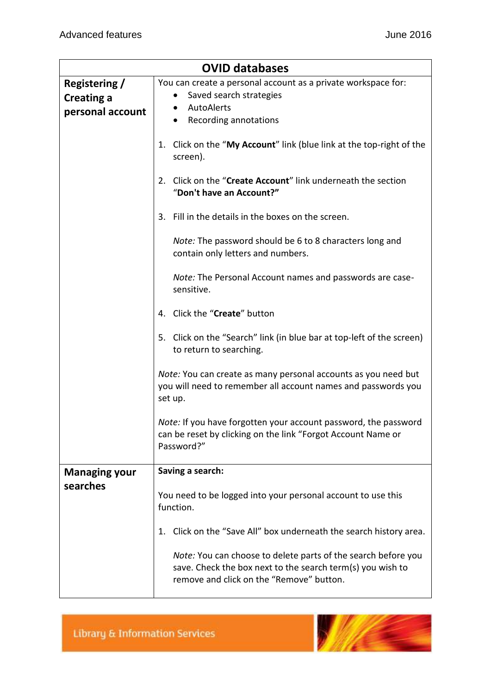| <b>OVID databases</b>                                  |                                                                                                                                                                         |
|--------------------------------------------------------|-------------------------------------------------------------------------------------------------------------------------------------------------------------------------|
| Registering /<br><b>Creating a</b><br>personal account | You can create a personal account as a private workspace for:<br>Saved search strategies<br>AutoAlerts<br>Recording annotations<br>$\bullet$                            |
|                                                        | Click on the "My Account" link (blue link at the top-right of the<br>1.<br>screen).                                                                                     |
|                                                        | Click on the "Create Account" link underneath the section<br>2.<br>"Don't have an Account?"                                                                             |
|                                                        | Fill in the details in the boxes on the screen.<br>3.                                                                                                                   |
|                                                        | Note: The password should be 6 to 8 characters long and<br>contain only letters and numbers.                                                                            |
|                                                        | Note: The Personal Account names and passwords are case-<br>sensitive.                                                                                                  |
|                                                        | 4. Click the "Create" button                                                                                                                                            |
|                                                        | 5. Click on the "Search" link (in blue bar at top-left of the screen)<br>to return to searching.                                                                        |
|                                                        | Note: You can create as many personal accounts as you need but<br>you will need to remember all account names and passwords you<br>set up.                              |
|                                                        | Note: If you have forgotten your account password, the password<br>can be reset by clicking on the link "Forgot Account Name or<br>Password?"                           |
| <b>Managing your</b>                                   | Saving a search:                                                                                                                                                        |
| searches                                               | You need to be logged into your personal account to use this<br>function.                                                                                               |
|                                                        | Click on the "Save All" box underneath the search history area.<br>1.                                                                                                   |
|                                                        | Note: You can choose to delete parts of the search before you<br>save. Check the box next to the search term(s) you wish to<br>remove and click on the "Remove" button. |

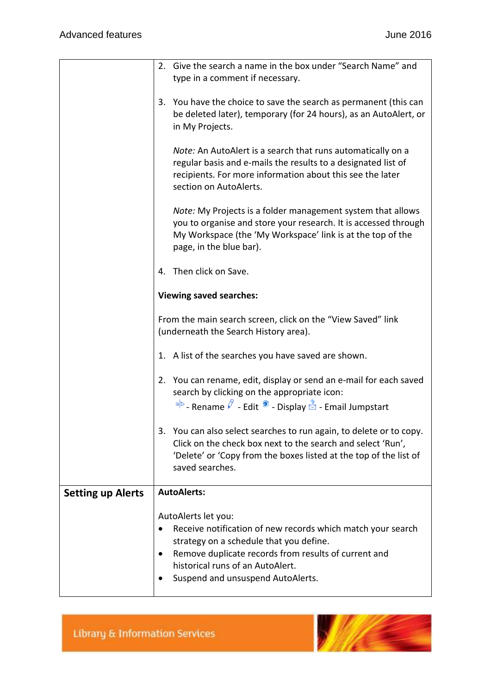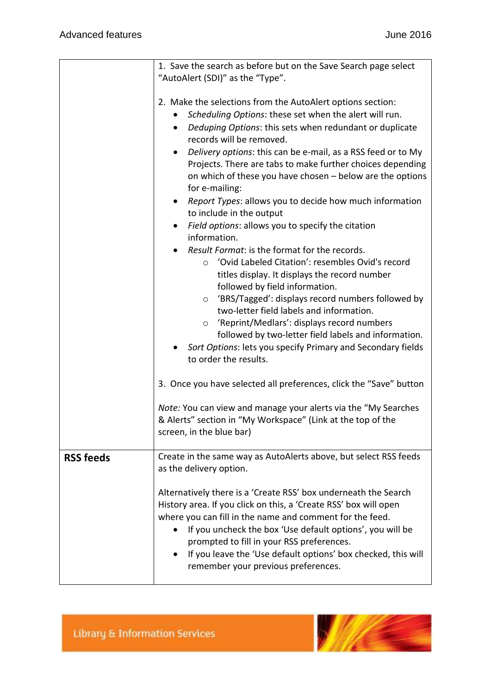|                  | 1. Save the search as before but on the Save Search page select                                                                                                                                                                                                                                                                                                                                                                                                                                                                                                                                                                                                                                                                                                                                                                                                                                                                                                                                                                                                                                                                                                                                                                                                        |
|------------------|------------------------------------------------------------------------------------------------------------------------------------------------------------------------------------------------------------------------------------------------------------------------------------------------------------------------------------------------------------------------------------------------------------------------------------------------------------------------------------------------------------------------------------------------------------------------------------------------------------------------------------------------------------------------------------------------------------------------------------------------------------------------------------------------------------------------------------------------------------------------------------------------------------------------------------------------------------------------------------------------------------------------------------------------------------------------------------------------------------------------------------------------------------------------------------------------------------------------------------------------------------------------|
|                  | "AutoAlert (SDI)" as the "Type".                                                                                                                                                                                                                                                                                                                                                                                                                                                                                                                                                                                                                                                                                                                                                                                                                                                                                                                                                                                                                                                                                                                                                                                                                                       |
|                  | 2. Make the selections from the AutoAlert options section:<br>Scheduling Options: these set when the alert will run.<br>Deduping Options: this sets when redundant or duplicate<br>$\bullet$<br>records will be removed.<br>Delivery options: this can be e-mail, as a RSS feed or to My<br>$\bullet$<br>Projects. There are tabs to make further choices depending<br>on which of these you have chosen - below are the options<br>for e-mailing:<br>Report Types: allows you to decide how much information<br>to include in the output<br>Field options: allows you to specify the citation<br>information.<br>Result Format: is the format for the records.<br>'Ovid Labeled Citation': resembles Ovid's record<br>$\circ$<br>titles display. It displays the record number<br>followed by field information.<br>'BRS/Tagged': displays record numbers followed by<br>$\circ$<br>two-letter field labels and information.<br>o 'Reprint/Medlars': displays record numbers<br>followed by two-letter field labels and information.<br>Sort Options: lets you specify Primary and Secondary fields<br>to order the results.<br>3. Once you have selected all preferences, click the "Save" button<br>Note: You can view and manage your alerts via the "My Searches" |
|                  | & Alerts" section in "My Workspace" (Link at the top of the<br>screen, in the blue bar)                                                                                                                                                                                                                                                                                                                                                                                                                                                                                                                                                                                                                                                                                                                                                                                                                                                                                                                                                                                                                                                                                                                                                                                |
| <b>RSS feeds</b> | Create in the same way as AutoAlerts above, but select RSS feeds<br>as the delivery option.                                                                                                                                                                                                                                                                                                                                                                                                                                                                                                                                                                                                                                                                                                                                                                                                                                                                                                                                                                                                                                                                                                                                                                            |
|                  | Alternatively there is a 'Create RSS' box underneath the Search<br>History area. If you click on this, a 'Create RSS' box will open<br>where you can fill in the name and comment for the feed.<br>If you uncheck the box 'Use default options', you will be<br>prompted to fill in your RSS preferences.<br>If you leave the 'Use default options' box checked, this will<br>remember your previous preferences.                                                                                                                                                                                                                                                                                                                                                                                                                                                                                                                                                                                                                                                                                                                                                                                                                                                      |